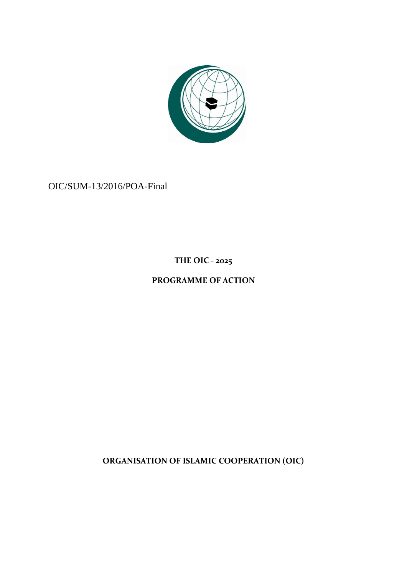

OIC/SUM-13/2016/POA-Final

**THE OIC - 2025**

# **PROGRAMME OF ACTION**

**ORGANISATION OF ISLAMIC COOPERATION (OIC)**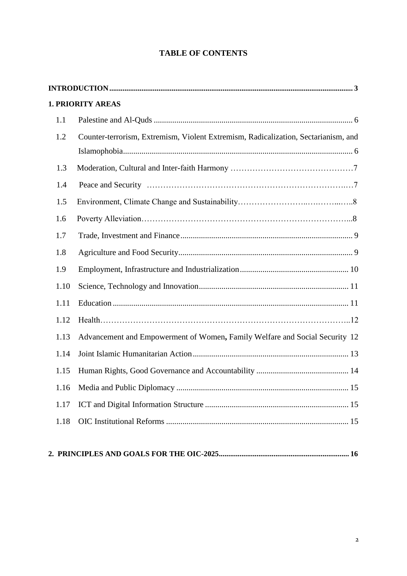# **TABLE OF CONTENTS**

|      | <b>1. PRIORITY AREAS</b>                                                           |
|------|------------------------------------------------------------------------------------|
| 1.1  |                                                                                    |
| 1.2  | Counter-terrorism, Extremism, Violent Extremism, Radicalization, Sectarianism, and |
|      |                                                                                    |
| 1.3  |                                                                                    |
| 1.4  |                                                                                    |
| 1.5  |                                                                                    |
| 1.6  |                                                                                    |
| 1.7  |                                                                                    |
| 1.8  |                                                                                    |
| 1.9  |                                                                                    |
| 1.10 |                                                                                    |
| 1.11 |                                                                                    |
| 1.12 |                                                                                    |
| 1.13 | Advancement and Empowerment of Women, Family Welfare and Social Security 12        |
| 1.14 |                                                                                    |
| 1.15 |                                                                                    |
|      |                                                                                    |
| 1.17 |                                                                                    |
| 1.18 |                                                                                    |
|      |                                                                                    |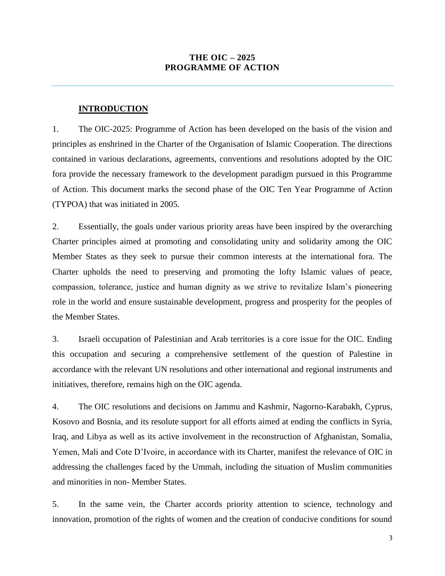### **THE OIC – 2025 PROGRAMME OF ACTION**

#### **INTRODUCTION**

<span id="page-2-0"></span>1. The OIC-2025: Programme of Action has been developed on the basis of the vision and principles as enshrined in the Charter of the Organisation of Islamic Cooperation. The directions contained in various declarations, agreements, conventions and resolutions adopted by the OIC fora provide the necessary framework to the development paradigm pursued in this Programme of Action. This document marks the second phase of the OIC Ten Year Programme of Action (TYPOA) that was initiated in 2005.

2. Essentially, the goals under various priority areas have been inspired by the overarching Charter principles aimed at promoting and consolidating unity and solidarity among the OIC Member States as they seek to pursue their common interests at the international fora. The Charter upholds the need to preserving and promoting the lofty Islamic values of peace, compassion, tolerance, justice and human dignity as we strive to revitalize Islam's pioneering role in the world and ensure sustainable development, progress and prosperity for the peoples of the Member States.

3. Israeli occupation of Palestinian and Arab territories is a core issue for the OIC. Ending this occupation and securing a comprehensive settlement of the question of Palestine in accordance with the relevant UN resolutions and other international and regional instruments and initiatives, therefore, remains high on the OIC agenda.

4. The OIC resolutions and decisions on Jammu and Kashmir, Nagorno-Karabakh, Cyprus, Kosovo and Bosnia, and its resolute support for all efforts aimed at ending the conflicts in Syria, Iraq, and Libya as well as its active involvement in the reconstruction of Afghanistan, Somalia, Yemen, Mali and Cote D'Ivoire, in accordance with its Charter, manifest the relevance of OIC in addressing the challenges faced by the Ummah, including the situation of Muslim communities and minorities in non- Member States.

5. In the same vein, the Charter accords priority attention to science, technology and innovation, promotion of the rights of women and the creation of conducive conditions for sound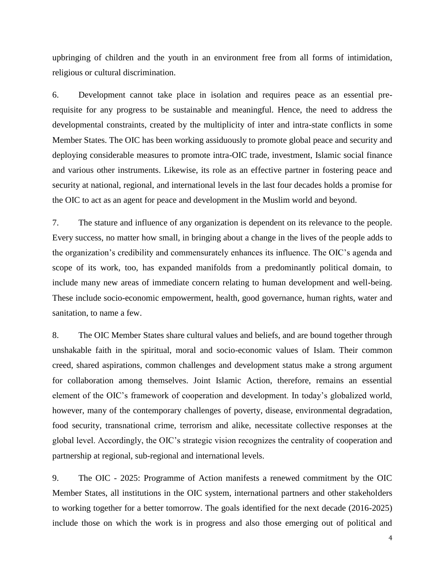upbringing of children and the youth in an environment free from all forms of intimidation, religious or cultural discrimination.

6. Development cannot take place in isolation and requires peace as an essential prerequisite for any progress to be sustainable and meaningful. Hence, the need to address the developmental constraints, created by the multiplicity of inter and intra-state conflicts in some Member States. The OIC has been working assiduously to promote global peace and security and deploying considerable measures to promote intra-OIC trade, investment, Islamic social finance and various other instruments. Likewise, its role as an effective partner in fostering peace and security at national, regional, and international levels in the last four decades holds a promise for the OIC to act as an agent for peace and development in the Muslim world and beyond.

7. The stature and influence of any organization is dependent on its relevance to the people. Every success, no matter how small, in bringing about a change in the lives of the people adds to the organization's credibility and commensurately enhances its influence. The OIC's agenda and scope of its work, too, has expanded manifolds from a predominantly political domain, to include many new areas of immediate concern relating to human development and well-being. These include socio-economic empowerment, health, good governance, human rights, water and sanitation, to name a few.

8. The OIC Member States share cultural values and beliefs, and are bound together through unshakable faith in the spiritual, moral and socio-economic values of Islam. Their common creed, shared aspirations, common challenges and development status make a strong argument for collaboration among themselves. Joint Islamic Action, therefore, remains an essential element of the OIC's framework of cooperation and development. In today's globalized world, however, many of the contemporary challenges of poverty, disease, environmental degradation, food security, transnational crime, terrorism and alike, necessitate collective responses at the global level. Accordingly, the OIC's strategic vision recognizes the centrality of cooperation and partnership at regional, sub-regional and international levels.

9. The OIC - 2025: Programme of Action manifests a renewed commitment by the OIC Member States, all institutions in the OIC system, international partners and other stakeholders to working together for a better tomorrow. The goals identified for the next decade (2016-2025) include those on which the work is in progress and also those emerging out of political and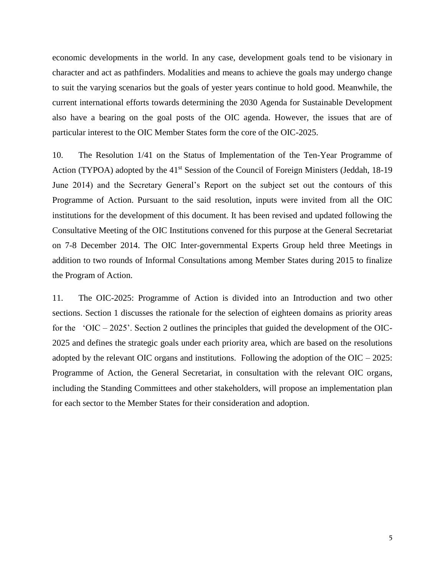economic developments in the world. In any case, development goals tend to be visionary in character and act as pathfinders. Modalities and means to achieve the goals may undergo change to suit the varying scenarios but the goals of yester years continue to hold good. Meanwhile, the current international efforts towards determining the 2030 Agenda for Sustainable Development also have a bearing on the goal posts of the OIC agenda. However, the issues that are of particular interest to the OIC Member States form the core of the OIC-2025.

10. The Resolution 1/41 on the Status of Implementation of the Ten-Year Programme of Action (TYPOA) adopted by the 41<sup>st</sup> Session of the Council of Foreign Ministers (Jeddah, 18-19 June 2014) and the Secretary General's Report on the subject set out the contours of this Programme of Action. Pursuant to the said resolution, inputs were invited from all the OIC institutions for the development of this document. It has been revised and updated following the Consultative Meeting of the OIC Institutions convened for this purpose at the General Secretariat on 7-8 December 2014. The OIC Inter-governmental Experts Group held three Meetings in addition to two rounds of Informal Consultations among Member States during 2015 to finalize the Program of Action.

11. The OIC-2025: Programme of Action is divided into an Introduction and two other sections. Section 1 discusses the rationale for the selection of eighteen domains as priority areas for the 'OIC – 2025'. Section 2 outlines the principles that guided the development of the OIC-2025 and defines the strategic goals under each priority area, which are based on the resolutions adopted by the relevant OIC organs and institutions. Following the adoption of the  $OIC - 2025$ : Programme of Action, the General Secretariat, in consultation with the relevant OIC organs, including the Standing Committees and other stakeholders, will propose an implementation plan for each sector to the Member States for their consideration and adoption.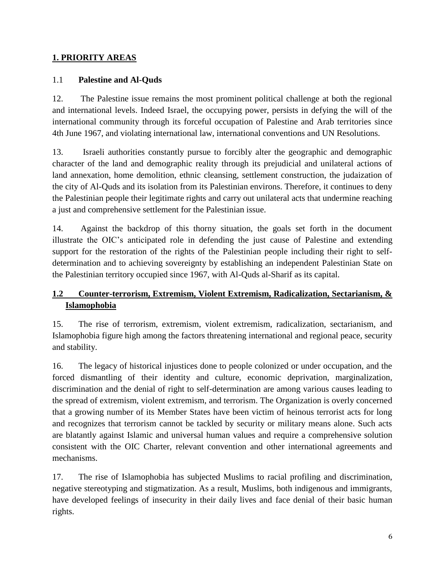# **1. PRIORITY AREAS**

# 1.1 **Palestine and Al-Quds**

12. The Palestine issue remains the most prominent political challenge at both the regional and international levels. Indeed Israel, the occupying power, persists in defying the will of the international community through its forceful occupation of Palestine and Arab territories since 4th June 1967, and violating international law, international conventions and UN Resolutions.

13. Israeli authorities constantly pursue to forcibly alter the geographic and demographic character of the land and demographic reality through its prejudicial and unilateral actions of land annexation, home demolition, ethnic cleansing, settlement construction, the judaization of the city of Al-Quds and its isolation from its Palestinian environs. Therefore, it continues to deny the Palestinian people their legitimate rights and carry out unilateral acts that undermine reaching a just and comprehensive settlement for the Palestinian issue.

14. Against the backdrop of this thorny situation, the goals set forth in the document illustrate the OIC's anticipated role in defending the just cause of Palestine and extending support for the restoration of the rights of the Palestinian people including their right to selfdetermination and to achieving sovereignty by establishing an independent Palestinian State on the Palestinian territory occupied since 1967, with Al-Quds al-Sharif as its capital.

# **1.2 Counter-terrorism, Extremism, Violent Extremism, Radicalization, Sectarianism, & Islamophobia**

15. The rise of terrorism, extremism, violent extremism, radicalization, sectarianism, and Islamophobia figure high among the factors threatening international and regional peace, security and stability.

16. The legacy of historical injustices done to people colonized or under occupation, and the forced dismantling of their identity and culture, economic deprivation, marginalization, discrimination and the denial of right to self-determination are among various causes leading to the spread of extremism, violent extremism, and terrorism. The Organization is overly concerned that a growing number of its Member States have been victim of heinous terrorist acts for long and recognizes that terrorism cannot be tackled by security or military means alone. Such acts are blatantly against Islamic and universal human values and require a comprehensive solution consistent with the OIC Charter, relevant convention and other international agreements and mechanisms.

17. The rise of Islamophobia has subjected Muslims to racial profiling and discrimination, negative stereotyping and stigmatization. As a result, Muslims, both indigenous and immigrants, have developed feelings of insecurity in their daily lives and face denial of their basic human rights.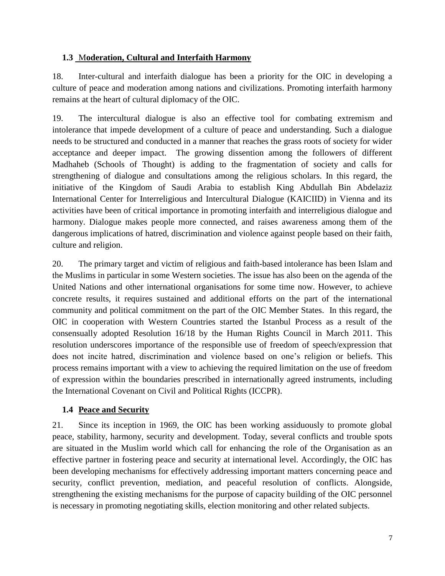# **1.3** M**oderation, Cultural and Interfaith Harmony**

18. Inter-cultural and interfaith dialogue has been a priority for the OIC in developing a culture of peace and moderation among nations and civilizations. Promoting interfaith harmony remains at the heart of cultural diplomacy of the OIC.

19. The intercultural dialogue is also an effective tool for combating extremism and intolerance that impede development of a culture of peace and understanding. Such a dialogue needs to be structured and conducted in a manner that reaches the grass roots of society for wider acceptance and deeper impact. The growing dissention among the followers of different Madhaheb (Schools of Thought) is adding to the fragmentation of society and calls for strengthening of dialogue and consultations among the religious scholars. In this regard, the initiative of the Kingdom of Saudi Arabia to establish King Abdullah Bin Abdelaziz International Center for Interreligious and Intercultural Dialogue (KAICIID) in Vienna and its activities have been of critical importance in promoting interfaith and interreligious dialogue and harmony. Dialogue makes people more connected, and raises awareness among them of the dangerous implications of hatred, discrimination and violence against people based on their faith, culture and religion.

20. The primary target and victim of religious and faith-based intolerance has been Islam and the Muslims in particular in some Western societies. The issue has also been on the agenda of the United Nations and other international organisations for some time now. However, to achieve concrete results, it requires sustained and additional efforts on the part of the international community and political commitment on the part of the OIC Member States. In this regard, the OIC in cooperation with Western Countries started the Istanbul Process as a result of the consensually adopted Resolution 16/18 by the Human Rights Council in March 2011. This resolution underscores importance of the responsible use of freedom of speech/expression that does not incite hatred, discrimination and violence based on one's religion or beliefs. This process remains important with a view to achieving the required limitation on the use of freedom of expression within the boundaries prescribed in internationally agreed instruments, including the International Covenant on Civil and Political Rights (ICCPR).

# **1.4 Peace and Security**

21. Since its inception in 1969, the OIC has been working assiduously to promote global peace, stability, harmony, security and development. Today, several conflicts and trouble spots are situated in the Muslim world which call for enhancing the role of the Organisation as an effective partner in fostering peace and security at international level. Accordingly, the OIC has been developing mechanisms for effectively addressing important matters concerning peace and security, conflict prevention, mediation, and peaceful resolution of conflicts. Alongside, strengthening the existing mechanisms for the purpose of capacity building of the OIC personnel is necessary in promoting negotiating skills, election monitoring and other related subjects.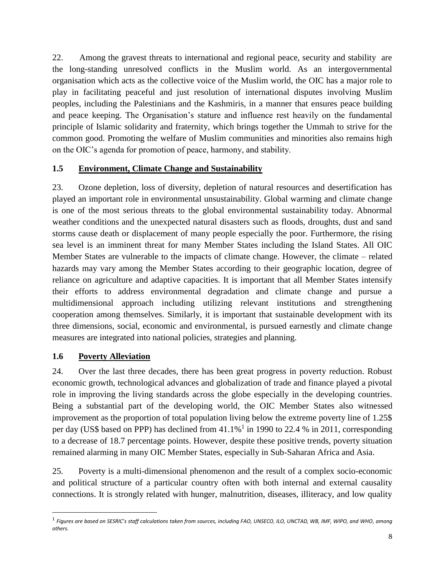22. Among the gravest threats to international and regional peace, security and stability are the long-standing unresolved conflicts in the Muslim world. As an intergovernmental organisation which acts as the collective voice of the Muslim world, the OIC has a major role to play in facilitating peaceful and just resolution of international disputes involving Muslim peoples, including the Palestinians and the Kashmiris, in a manner that ensures peace building and peace keeping. The Organisation's stature and influence rest heavily on the fundamental principle of Islamic solidarity and fraternity, which brings together the Ummah to strive for the common good. Promoting the welfare of Muslim communities and minorities also remains high on the OIC's agenda for promotion of peace, harmony, and stability.

## **1.5 Environment, Climate Change and Sustainability**

23. Ozone depletion, loss of diversity, depletion of natural resources and desertification has played an important role in environmental unsustainability. Global warming and climate change is one of the most serious threats to the global environmental sustainability today. Abnormal weather conditions and the unexpected natural disasters such as floods, droughts, dust and sand storms cause death or displacement of many people especially the poor. Furthermore, the rising sea level is an imminent threat for many Member States including the Island States. All OIC Member States are vulnerable to the impacts of climate change. However, the climate – related hazards may vary among the Member States according to their geographic location, degree of reliance on agriculture and adaptive capacities. It is important that all Member States intensify their efforts to address environmental degradation and climate change and pursue a multidimensional approach including utilizing relevant institutions and strengthening cooperation among themselves. Similarly, it is important that sustainable development with its three dimensions, social, economic and environmental, is pursued earnestly and climate change measures are integrated into national policies, strategies and planning.

## **1.6 Poverty Alleviation**

l

24. Over the last three decades, there has been great progress in poverty reduction. Robust economic growth, technological advances and globalization of trade and finance played a pivotal role in improving the living standards across the globe especially in the developing countries. Being a substantial part of the developing world, the OIC Member States also witnessed improvement as the proportion of total population living below the extreme poverty line of 1.25\$ per day (US\$ based on PPP) has declined from  $41.1\%$ <sup>1</sup> in 1990 to 22.4 % in 2011, corresponding to a decrease of 18.7 percentage points. However, despite these positive trends, poverty situation remained alarming in many OIC Member States, especially in Sub-Saharan Africa and Asia.

25. Poverty is a multi-dimensional phenomenon and the result of a complex socio-economic and political structure of a particular country often with both internal and external causality connections. It is strongly related with hunger, malnutrition, diseases, illiteracy, and low quality

<sup>1</sup> *Figures are based on SESRIC's staff calculations taken from sources, including FAO, UNSECO, ILO, UNCTAD, WB, IMF, WIPO, and WHO, among others.*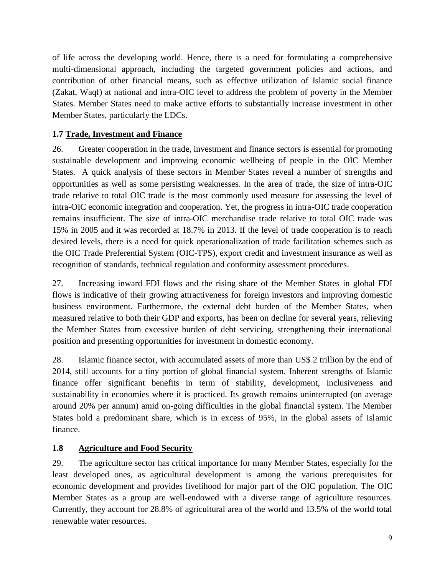of life across the developing world. Hence, there is a need for formulating a comprehensive multi-dimensional approach, including the targeted government policies and actions, and contribution of other financial means, such as effective utilization of Islamic social finance (Zakat, Waqf) at national and intra-OIC level to address the problem of poverty in the Member States. Member States need to make active efforts to substantially increase investment in other Member States, particularly the LDCs.

# **1.7 Trade, Investment and Finance**

26. Greater cooperation in the trade, investment and finance sectors is essential for promoting sustainable development and improving economic wellbeing of people in the OIC Member States. A quick analysis of these sectors in Member States reveal a number of strengths and opportunities as well as some persisting weaknesses. In the area of trade, the size of intra-OIC trade relative to total OIC trade is the most commonly used measure for assessing the level of intra-OIC economic integration and cooperation. Yet, the progress in intra-OIC trade cooperation remains insufficient. The size of intra-OIC merchandise trade relative to total OIC trade was 15% in 2005 and it was recorded at 18.7% in 2013. If the level of trade cooperation is to reach desired levels, there is a need for quick operationalization of trade facilitation schemes such as the OIC Trade Preferential System (OIC-TPS), export credit and investment insurance as well as recognition of standards, technical regulation and conformity assessment procedures.

27. Increasing inward FDI flows and the rising share of the Member States in global FDI flows is indicative of their growing attractiveness for foreign investors and improving domestic business environment. Furthermore, the external debt burden of the Member States, when measured relative to both their GDP and exports, has been on decline for several years, relieving the Member States from excessive burden of debt servicing, strengthening their international position and presenting opportunities for investment in domestic economy.

28. Islamic finance sector, with accumulated assets of more than US\$ 2 trillion by the end of 2014, still accounts for a tiny portion of global financial system. Inherent strengths of Islamic finance offer significant benefits in term of stability, development, inclusiveness and sustainability in economies where it is practiced. Its growth remains uninterrupted (on average around 20% per annum) amid on-going difficulties in the global financial system. The Member States hold a predominant share, which is in excess of 95%, in the global assets of Islamic finance.

# **1.8 Agriculture and Food Security**

29. The agriculture sector has critical importance for many Member States, especially for the least developed ones, as agricultural development is among the various prerequisites for economic development and provides livelihood for major part of the OIC population. The OIC Member States as a group are well-endowed with a diverse range of agriculture resources. Currently, they account for 28.8% of agricultural area of the world and 13.5% of the world total renewable water resources.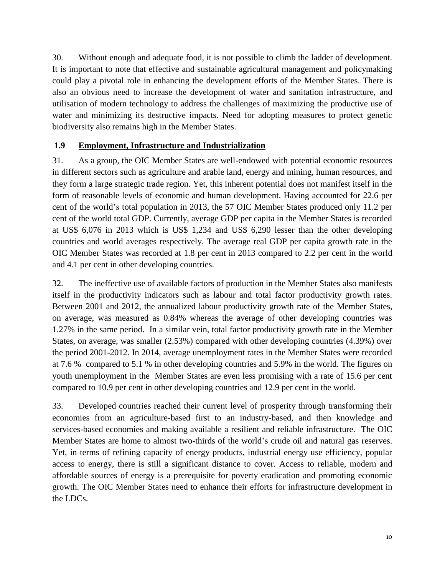30. Without enough and adequate food, it is not possible to climb the ladder of development. It is important to note that effective and sustainable agricultural management and policymaking could play a pivotal role in enhancing the development efforts of the Member States. There is also an obvious need to increase the development of water and sanitation infrastructure, and utilisation of modern technology to address the challenges of maximizing the productive use of water and minimizing its destructive impacts. Need for adopting measures to protect genetic biodiversity also remains high in the Member States.

# **1.9 Employment, Infrastructure and Industrialization**

31. As a group, the OIC Member States are well-endowed with potential economic resources in different sectors such as agriculture and arable land, energy and mining, human resources, and they form a large strategic trade region. Yet, this inherent potential does not manifest itself in the form of reasonable levels of economic and human development. Having accounted for 22.6 per cent of the world's total population in 2013, the 57 OIC Member States produced only 11.2 per cent of the world total GDP. Currently, average GDP per capita in the Member States is recorded at US\$ 6,076 in 2013 which is US\$ 1,234 and US\$ 6,290 lesser than the other developing countries and world averages respectively. The average real GDP per capita growth rate in the OIC Member States was recorded at 1.8 per cent in 2013 compared to 2.2 per cent in the world and 4.1 per cent in other developing countries.

32. The ineffective use of available factors of production in the Member States also manifests itself in the productivity indicators such as labour and total factor productivity growth rates. Between 2001 and 2012, the annualized labour productivity growth rate of the Member States, on average, was measured as 0.84% whereas the average of other developing countries was 1.27% in the same period. In a similar vein, total factor productivity growth rate in the Member States, on average, was smaller (2.53%) compared with other developing countries (4.39%) over the period 2001-2012. In 2014, average unemployment rates in the Member States were recorded at 7.6 % compared to 5.1 % in other developing countries and 5.9% in the world. The figures on youth unemployment in the Member States are even less promising with a rate of 15.6 per cent compared to 10.9 per cent in other developing countries and 12.9 per cent in the world.

33. Developed countries reached their current level of prosperity through transforming their economies from an agriculture-based first to an industry-based, and then knowledge and services-based economies and making available a resilient and reliable infrastructure. The OIC Member States are home to almost two-thirds of the world's crude oil and natural gas reserves. Yet, in terms of refining capacity of energy products, industrial energy use efficiency, popular access to energy, there is still a significant distance to cover. Access to reliable, modern and affordable sources of energy is a prerequisite for poverty eradication and promoting economic growth. The OIC Member States need to enhance their efforts for infrastructure development in the LDCs.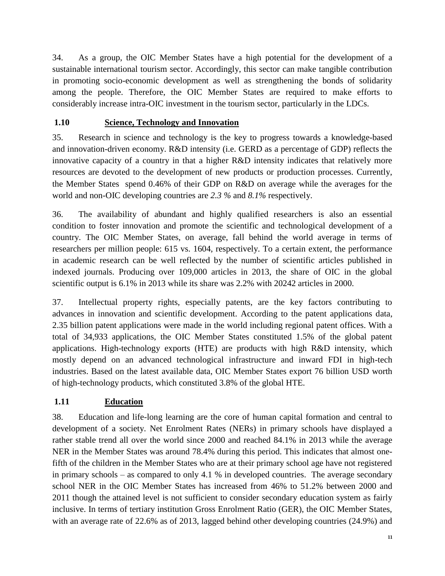34. As a group, the OIC Member States have a high potential for the development of a sustainable international tourism sector. Accordingly, this sector can make tangible contribution in promoting socio-economic development as well as strengthening the bonds of solidarity among the people. Therefore, the OIC Member States are required to make efforts to considerably increase intra-OIC investment in the tourism sector, particularly in the LDCs.

# **1.10 Science, Technology and Innovation**

35. Research in science and technology is the key to progress towards a knowledge-based and innovation-driven economy. R&D intensity (i.e. GERD as a percentage of GDP) reflects the innovative capacity of a country in that a higher R&D intensity indicates that relatively more resources are devoted to the development of new products or production processes. Currently, the Member States spend 0.46% of their GDP on R&D on average while the averages for the world and non-OIC developing countries are *2.3 %* and *8.1%* respectively.

36. The availability of abundant and highly qualified researchers is also an essential condition to foster innovation and promote the scientific and technological development of a country. The OIC Member States, on average, fall behind the world average in terms of researchers per million people: 615 vs. 1604, respectively. To a certain extent, the performance in academic research can be well reflected by the number of scientific articles published in indexed journals. Producing over 109,000 articles in 2013, the share of OIC in the global scientific output is 6.1% in 2013 while its share was 2.2% with 20242 articles in 2000.

37. Intellectual property rights, especially patents, are the key factors contributing to advances in innovation and scientific development. According to the patent applications data, 2.35 billion patent applications were made in the world including regional patent offices. With a total of 34,933 applications, the OIC Member States constituted 1.5% of the global patent applications. High-technology exports (HTE) are products with high R&D intensity, which mostly depend on an advanced technological infrastructure and inward FDI in high-tech industries. Based on the latest available data, OIC Member States export 76 billion USD worth of high-technology products, which constituted 3.8% of the global HTE.

# **1.11 Education**

38. Education and life-long learning are the core of human capital formation and central to development of a society. Net Enrolment Rates (NERs) in primary schools have displayed a rather stable trend all over the world since 2000 and reached 84.1% in 2013 while the average NER in the Member States was around 78.4% during this period. This indicates that almost onefifth of the children in the Member States who are at their primary school age have not registered in primary schools – as compared to only 4.1 % in developed countries. The average secondary school NER in the OIC Member States has increased from 46% to 51.2% between 2000 and 2011 though the attained level is not sufficient to consider secondary education system as fairly inclusive. In terms of tertiary institution Gross Enrolment Ratio (GER), the OIC Member States, with an average rate of 22.6% as of 2013, lagged behind other developing countries (24.9%) and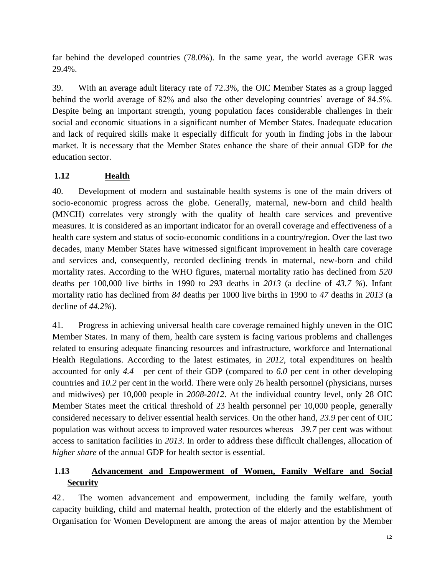far behind the developed countries (78.0%). In the same year, the world average GER was 29.4%.

39. With an average adult literacy rate of 72.3%, the OIC Member States as a group lagged behind the world average of 82% and also the other developing countries' average of 84.5%. Despite being an important strength, young population faces considerable challenges in their social and economic situations in a significant number of Member States. Inadequate education and lack of required skills make it especially difficult for youth in finding jobs in the labour market. It is necessary that the Member State*s* enhance the share of their annual GDP for *the* education sector.

# **1.12 Health**

40. Development of modern and sustainable health systems is one of the main drivers of socio-economic progress across the globe. Generally, maternal, new-born and child health (MNCH) correlates very strongly with the quality of health care services and preventive measures. It is considered as an important indicator for an overall coverage and effectiveness of a health care system and status of socio-economic conditions in a country/region. Over the last two decades, many Member States have witnessed significant improvement in health care coverage and services and, consequently, recorded declining trends in maternal, new-born and child mortality rates. According to the WHO figures, maternal mortality ratio has declined from *520* deaths per 100,000 live births in 1990 to *293* deaths in *2013* (a decline of *43.7 %*). Infant mortality ratio has declined from *84* deaths per 1000 live births in 1990 to *47* deaths in *2013* (a decline of *44.2%*).

41. Progress in achieving universal health care coverage remained highly uneven in the OIC Member States. In many of them, health care system is facing various problems and challenges related to ensuring adequate financing resources and infrastructure, workforce and International Health Regulations. According to the latest estimates, in *2012*, total expenditures on health accounted for only *4.4* per cent of their GDP (compared to *6.0* per cent in other developing countries and *10.2* per cent in the world. There were only 26 health personnel (physicians, nurses and midwives) per 10,000 people in *2008-2012*. At the individual country level, only 28 OIC Member States meet the critical threshold of 23 health personnel per 10,000 people, generally considered necessary to deliver essential health services. On the other hand, *23.9* per cent of OIC population was without access to improved water resources whereas *39.7* per cent was without access to sanitation facilities in *2013*. In order to address these difficult challenges, allocation of *higher share* of the annual GDP for health sector is essential.

# **1.13 Advancement and Empowerment of Women, Family Welfare and Social Security**

42 . The women advancement and empowerment, including the family welfare, youth capacity building, child and maternal health, protection of the elderly and the establishment of Organisation for Women Development are among the areas of major attention by the Member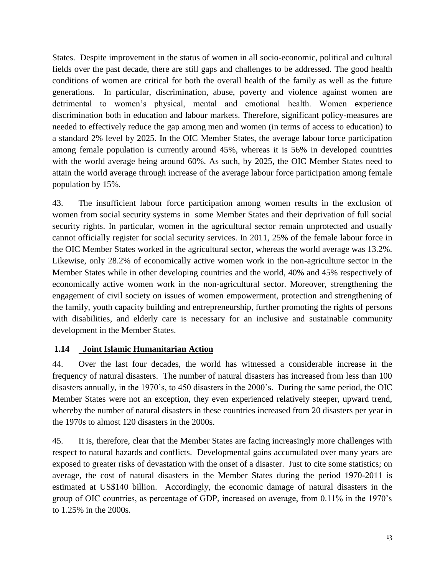States. Despite improvement in the status of women in all socio-economic, political and cultural fields over the past decade, there are still gaps and challenges to be addressed. The good health conditions of women are critical for both the overall health of the family as well as the future generations. In particular, discrimination, abuse, poverty and violence against women are detrimental to women's physical, mental and emotional health. Women experience discrimination both in education and labour markets. Therefore, significant policy-measures are needed to effectively reduce the gap among men and women (in terms of access to education) to a standard 2% level by 2025. In the OIC Member States, the average labour force participation among female population is currently around 45%, whereas it is 56% in developed countries with the world average being around 60%. As such, by 2025, the OIC Member States need to attain the world average through increase of the average labour force participation among female population by 15%.

43. The insufficient labour force participation among women results in the exclusion of women from social security systems in some Member States and their deprivation of full social security rights. In particular, women in the agricultural sector remain unprotected and usually cannot officially register for social security services. In 2011, 25% of the female labour force in the OIC Member States worked in the agricultural sector, whereas the world average was 13.2%. Likewise, only 28.2% of economically active women work in the non-agriculture sector in the Member States while in other developing countries and the world, 40% and 45% respectively of economically active women work in the non-agricultural sector. Moreover, strengthening the engagement of civil society on issues of women empowerment, protection and strengthening of the family, youth capacity building and entrepreneurship, further promoting the rights of persons with disabilities, and elderly care is necessary for an inclusive and sustainable community development in the Member States.

## **1.14 Joint Islamic Humanitarian Action**

44. Over the last four decades, the world has witnessed a considerable increase in the frequency of natural disasters. The number of natural disasters has increased from less than 100 disasters annually, in the 1970's, to 450 disasters in the 2000's. During the same period, the OIC Member States were not an exception, they even experienced relatively steeper, upward trend, whereby the number of natural disasters in these countries increased from 20 disasters per year in the 1970s to almost 120 disasters in the 2000s.

45. It is, therefore, clear that the Member States are facing increasingly more challenges with respect to natural hazards and conflicts. Developmental gains accumulated over many years are exposed to greater risks of devastation with the onset of a disaster. Just to cite some statistics; on average, the cost of natural disasters in the Member States during the period 1970-2011 is estimated at US\$140 billion. Accordingly, the economic damage of natural disasters in the group of OIC countries, as percentage of GDP, increased on average, from 0.11% in the 1970's to 1.25% in the 2000s.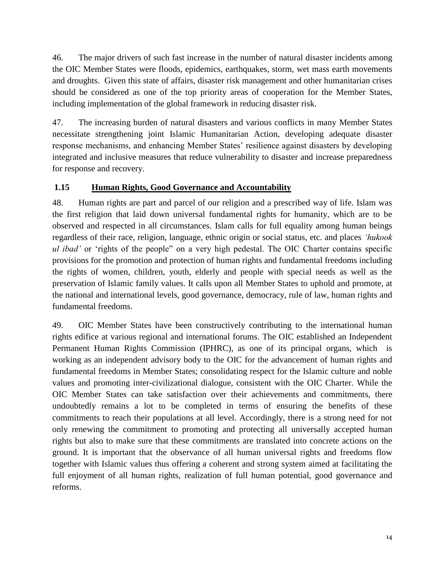46. The major drivers of such fast increase in the number of natural disaster incidents among the OIC Member States were floods, epidemics, earthquakes, storm, wet mass earth movements and droughts. Given this state of affairs, disaster risk management and other humanitarian crises should be considered as one of the top priority areas of cooperation for the Member States, including implementation of the global framework in reducing disaster risk.

47. The increasing burden of natural disasters and various conflicts in many Member States necessitate strengthening joint Islamic Humanitarian Action, developing adequate disaster response mechanisms, and enhancing Member States' resilience against disasters by developing integrated and inclusive measures that reduce vulnerability to disaster and increase preparedness for response and recovery.

# **1.15 Human Rights, Good Governance and Accountability**

48. Human rights are part and parcel of our religion and a prescribed way of life. Islam was the first religion that laid down universal fundamental rights for humanity, which are to be observed and respected in all circumstances. Islam calls for full equality among human beings regardless of their race, religion, language, ethnic origin or social status, etc. and places *'hukook ul ibad'* or 'rights of the people" on a very high pedestal. The OIC Charter contains specific provisions for the promotion and protection of human rights and fundamental freedoms including the rights of women, children, youth, elderly and people with special needs as well as the preservation of Islamic family values. It calls upon all Member States to uphold and promote, at the national and international levels, good governance, democracy, rule of law, human rights and fundamental freedoms.

49. OIC Member States have been constructively contributing to the international human rights edifice at various regional and international forums. The OIC established an Independent Permanent Human Rights Commission (IPHRC), as one of its principal organs, which is working as an independent advisory body to the OIC for the advancement of human rights and fundamental freedoms in Member States; consolidating respect for the Islamic culture and noble values and promoting inter-civilizational dialogue, consistent with the OIC Charter. While the OIC Member States can take satisfaction over their achievements and commitments, there undoubtedly remains a lot to be completed in terms of ensuring the benefits of these commitments to reach their populations at all level. Accordingly, there is a strong need for not only renewing the commitment to promoting and protecting all universally accepted human rights but also to make sure that these commitments are translated into concrete actions on the ground. It is important that the observance of all human universal rights and freedoms flow together with Islamic values thus offering a coherent and strong system aimed at facilitating the full enjoyment of all human rights, realization of full human potential, good governance and reforms.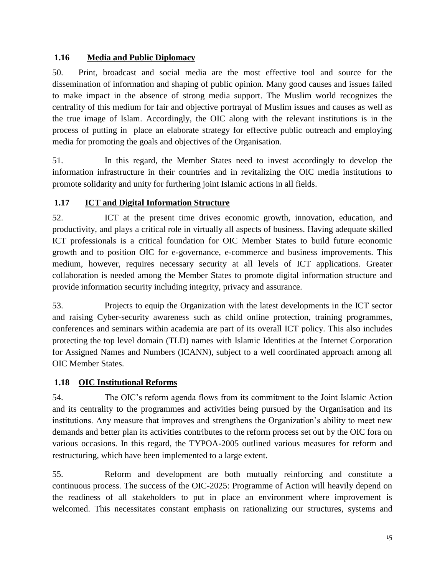# **1.16 Media and Public Diplomacy**

50. Print, broadcast and social media are the most effective tool and source for the dissemination of information and shaping of public opinion. Many good causes and issues failed to make impact in the absence of strong media support. The Muslim world recognizes the centrality of this medium for fair and objective portrayal of Muslim issues and causes as well as the true image of Islam. Accordingly, the OIC along with the relevant institutions is in the process of putting in place an elaborate strategy for effective public outreach and employing media for promoting the goals and objectives of the Organisation.

51. In this regard, the Member States need to invest accordingly to develop the information infrastructure in their countries and in revitalizing the OIC media institutions to promote solidarity and unity for furthering joint Islamic actions in all fields.

# **1.17 ICT and Digital Information Structure**

52. ICT at the present time drives economic growth, innovation, education, and productivity, and plays a critical role in virtually all aspects of business. Having adequate skilled ICT professionals is a critical foundation for OIC Member States to build future economic growth and to position OIC for e-governance, e-commerce and business improvements. This medium, however, requires necessary security at all levels of ICT applications. Greater collaboration is needed among the Member States to promote digital information structure and provide information security including integrity, privacy and assurance.

53. Projects to equip the Organization with the latest developments in the ICT sector and raising Cyber-security awareness such as child online protection, training programmes, conferences and seminars within academia are part of its overall ICT policy. This also includes protecting the top level domain (TLD) names with Islamic Identities at the Internet Corporation for Assigned Names and Numbers (ICANN), subject to a well coordinated approach among all OIC Member States.

# **1.18 OIC Institutional Reforms**

54. The OIC's reform agenda flows from its commitment to the Joint Islamic Action and its centrality to the programmes and activities being pursued by the Organisation and its institutions. Any measure that improves and strengthens the Organization's ability to meet new demands and better plan its activities contributes to the reform process set out by the OIC fora on various occasions. In this regard, the TYPOA-2005 outlined various measures for reform and restructuring, which have been implemented to a large extent.

55. Reform and development are both mutually reinforcing and constitute a continuous process. The success of the OIC-2025: Programme of Action will heavily depend on the readiness of all stakeholders to put in place an environment where improvement is welcomed. This necessitates constant emphasis on rationalizing our structures, systems and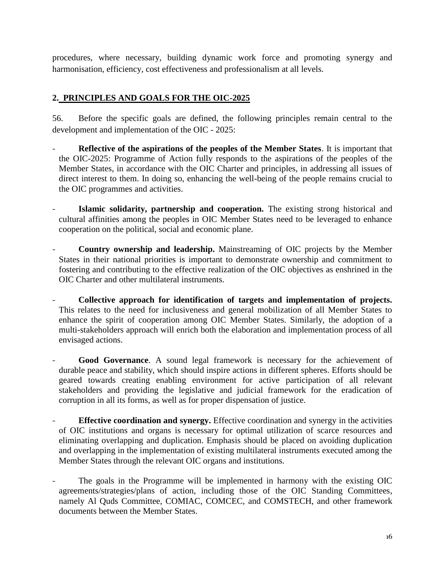procedures, where necessary, building dynamic work force and promoting synergy and harmonisation, efficiency, cost effectiveness and professionalism at all levels.

# **2. PRINCIPLES AND GOALS FOR THE OIC-2025**

<span id="page-15-0"></span>56. Before the specific goals are defined, the following principles remain central to the development and implementation of the OIC - 2025:

- **Reflective of the aspirations of the peoples of the Member States**. It is important that the OIC-2025: Programme of Action fully responds to the aspirations of the peoples of the Member States, in accordance with the OIC Charter and principles, in addressing all issues of direct interest to them. In doing so, enhancing the well-being of the people remains crucial to the OIC programmes and activities.
- **Islamic solidarity, partnership and cooperation.** The existing strong historical and cultural affinities among the peoples in OIC Member States need to be leveraged to enhance cooperation on the political, social and economic plane.
- **Country ownership and leadership.** Mainstreaming of OIC projects by the Member States in their national priorities is important to demonstrate ownership and commitment to fostering and contributing to the effective realization of the OIC objectives as enshrined in the OIC Charter and other multilateral instruments.
- **Collective approach for identification of targets and implementation of projects.**  This relates to the need for inclusiveness and general mobilization of all Member States to enhance the spirit of cooperation among OIC Member States. Similarly, the adoption of a multi-stakeholders approach will enrich both the elaboration and implementation process of all envisaged actions.
- Good Governance. A sound legal framework is necessary for the achievement of durable peace and stability, which should inspire actions in different spheres. Efforts should be geared towards creating enabling environment for active participation of all relevant stakeholders and providing the legislative and judicial framework for the eradication of corruption in all its forms, as well as for proper dispensation of justice.
- **Effective coordination and synergy.** Effective coordination and synergy in the activities of OIC institutions and organs is necessary for optimal utilization of scarce resources and eliminating overlapping and duplication. Emphasis should be placed on avoiding duplication and overlapping in the implementation of existing multilateral instruments executed among the Member States through the relevant OIC organs and institutions.
- The goals in the Programme will be implemented in harmony with the existing OIC agreements/strategies/plans of action, including those of the OIC Standing Committees, namely Al Quds Committee, COMIAC, COMCEC, and COMSTECH, and other framework documents between the Member States.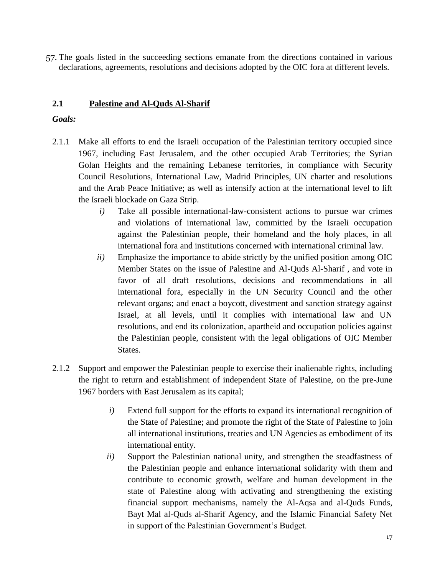57. The goals listed in the succeeding sections emanate from the directions contained in various declarations, agreements, resolutions and decisions adopted by the OIC fora at different levels.

## **2.1 Palestine and Al-Quds Al-Sharif**

- 2.1.1 Make all efforts to end the Israeli occupation of the Palestinian territory occupied since 1967, including East Jerusalem, and the other occupied Arab Territories; the Syrian Golan Heights and the remaining Lebanese territories, in compliance with Security Council Resolutions, International Law, Madrid Principles, UN charter and resolutions and the Arab Peace Initiative; as well as intensify action at the international level to lift the Israeli blockade on Gaza Strip.
	- *i)* Take all possible international-law-consistent actions to pursue war crimes and violations of international law, committed by the Israeli occupation against the Palestinian people, their homeland and the holy places, in all international fora and institutions concerned with international criminal law.
	- *ii)* Emphasize the importance to abide strictly by the unified position among OIC Member States on the issue of Palestine and Al-Quds Al-Sharif , and vote in favor of all draft resolutions, decisions and recommendations in all international fora, especially in the UN Security Council and the other relevant organs; and enact a boycott, divestment and sanction strategy against Israel, at all levels, until it complies with international law and UN resolutions, and end its colonization, apartheid and occupation policies against the Palestinian people, consistent with the legal obligations of OIC Member States.
- 2.1.2 Support and empower the Palestinian people to exercise their inalienable rights, including the right to return and establishment of independent State of Palestine, on the pre-June 1967 borders with East Jerusalem as its capital;
	- *i)* Extend full support for the efforts to expand its international recognition of the State of Palestine; and promote the right of the State of Palestine to join all international institutions, treaties and UN Agencies as embodiment of its international entity.
	- *ii)* Support the Palestinian national unity, and strengthen the steadfastness of the Palestinian people and enhance international solidarity with them and contribute to economic growth, welfare and human development in the state of Palestine along with activating and strengthening the existing financial support mechanisms, namely the Al-Aqsa and al-Quds Funds, Bayt Mal al-Quds al-Sharif Agency, and the Islamic Financial Safety Net in support of the Palestinian Government's Budget.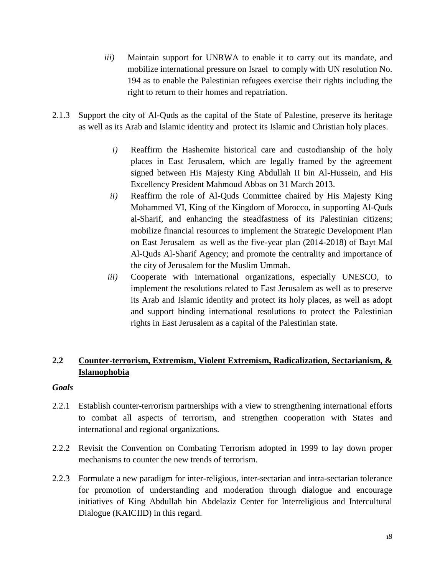- *iii*) Maintain support for UNRWA to enable it to carry out its mandate, and mobilize international pressure on Israel to comply with UN resolution No. 194 as to enable the Palestinian refugees exercise their rights including the right to return to their homes and repatriation.
- 2.1.3 Support the city of Al-Quds as the capital of the State of Palestine, preserve its heritage as well as its Arab and Islamic identity and protect its Islamic and Christian holy places.
	- *i)* Reaffirm the Hashemite historical care and custodianship of the holy places in East Jerusalem, which are legally framed by the agreement signed between His Majesty King Abdullah II bin Al-Hussein, and His Excellency President Mahmoud Abbas on 31 March 2013.
	- *ii)* Reaffirm the role of Al-Quds Committee chaired by His Majesty King Mohammed VI, King of the Kingdom of Morocco, in supporting Al-Quds al-Sharif, and enhancing the steadfastness of its Palestinian citizens; mobilize financial resources to implement the Strategic Development Plan on East Jerusalem as well as the five-year plan (2014-2018) of Bayt Mal Al-Quds Al-Sharif Agency; and promote the centrality and importance of the city of Jerusalem for the Muslim Ummah.
	- *iii)* Cooperate with international organizations, especially UNESCO, to implement the resolutions related to East Jerusalem as well as to preserve its Arab and Islamic identity and protect its holy places, as well as adopt and support binding international resolutions to protect the Palestinian rights in East Jerusalem as a capital of the Palestinian state.

# **2.2 Counter-terrorism, Extremism, Violent Extremism, Radicalization, Sectarianism, & Islamophobia**

- 2.2.1 Establish counter-terrorism partnerships with a view to strengthening international efforts to combat all aspects of terrorism, and strengthen cooperation with States and international and regional organizations.
- 2.2.2 Revisit the Convention on Combating Terrorism adopted in 1999 to lay down proper mechanisms to counter the new trends of terrorism.
- 2.2.3 Formulate a new paradigm for inter-religious, inter-sectarian and intra-sectarian tolerance for promotion of understanding and moderation through dialogue and encourage initiatives of King Abdullah bin Abdelaziz Center for Interreligious and Intercultural Dialogue (KAICIID) in this regard.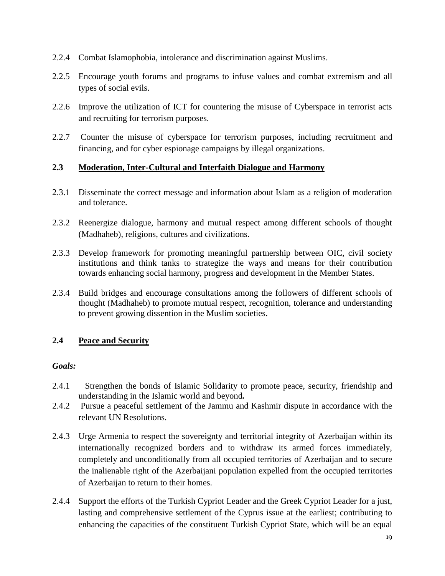- 2.2.4 Combat Islamophobia, intolerance and discrimination against Muslims.
- 2.2.5 Encourage youth forums and programs to infuse values and combat extremism and all types of social evils.
- 2.2.6 Improve the utilization of ICT for countering the misuse of Cyberspace in terrorist acts and recruiting for terrorism purposes.
- 2.2.7 Counter the misuse of cyberspace for terrorism purposes, including recruitment and financing, and for cyber espionage campaigns by illegal organizations.

# **2.3 Moderation, Inter-Cultural and Interfaith Dialogue and Harmony**

- 2.3.1 Disseminate the correct message and information about Islam as a religion of moderation and tolerance.
- 2.3.2 Reenergize dialogue, harmony and mutual respect among different schools of thought (Madhaheb), religions, cultures and civilizations.
- 2.3.3 Develop framework for promoting meaningful partnership between OIC, civil society institutions and think tanks to strategize the ways and means for their contribution towards enhancing social harmony, progress and development in the Member States.
- 2.3.4 Build bridges and encourage consultations among the followers of different schools of thought (Madhaheb) to promote mutual respect, recognition, tolerance and understanding to prevent growing dissention in the Muslim societies.

# **2.4 Peace and Security**

- 2.4.1 Strengthen the bonds of Islamic Solidarity to promote peace, security, friendship and understanding in the Islamic world and beyond*.*
- 2.4.2 Pursue a peaceful settlement of the Jammu and Kashmir dispute in accordance with the relevant UN Resolutions.
- 2.4.3 Urge Armenia to respect the sovereignty and territorial integrity of Azerbaijan within its internationally recognized borders and to withdraw its armed forces immediately, completely and unconditionally from all occupied territories of Azerbaijan and to secure the inalienable right of the Azerbaijani population expelled from the occupied territories of Azerbaijan to return to their homes.
- 2.4.4 Support the efforts of the Turkish Cypriot Leader and the Greek Cypriot Leader for a just, lasting and comprehensive settlement of the Cyprus issue at the earliest; contributing to enhancing the capacities of the constituent Turkish Cypriot State, which will be an equal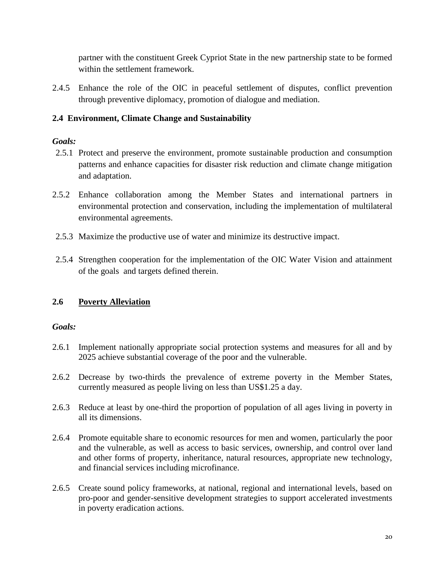partner with the constituent Greek Cypriot State in the new partnership state to be formed within the settlement framework.

2.4.5 Enhance the role of the OIC in peaceful settlement of disputes, conflict prevention through preventive diplomacy, promotion of dialogue and mediation.

# **2.4 Environment, Climate Change and Sustainability**

# *Goals:*

- 2.5.1 Protect and preserve the environment, promote sustainable production and consumption patterns and enhance capacities for disaster risk reduction and climate change mitigation and adaptation.
- 2.5.2 Enhance collaboration among the Member States and international partners in environmental protection and conservation, including the implementation of multilateral environmental agreements.
- 2.5.3 Maximize the productive use of water and minimize its destructive impact.
- 2.5.4 Strengthen cooperation for the implementation of the OIC Water Vision and attainment of the goals and targets defined therein.

# **2.6 Poverty Alleviation**

- 2.6.1 Implement nationally appropriate social protection systems and measures for all and by 2025 achieve substantial coverage of the poor and the vulnerable.
- 2.6.2 Decrease by two-thirds the prevalence of extreme poverty in the Member States, currently measured as people living on less than US\$1.25 a day.
- 2.6.3 Reduce at least by one-third the proportion of population of all ages living in poverty in all its dimensions.
- 2.6.4 Promote equitable share to economic resources for men and women, particularly the poor and the vulnerable, as well as access to basic services, ownership, and control over land and other forms of property, inheritance, natural resources, appropriate new technology, and financial services including microfinance.
- 2.6.5 Create sound policy frameworks, at national, regional and international levels, based on pro-poor and gender-sensitive development strategies to support accelerated investments in poverty eradication actions.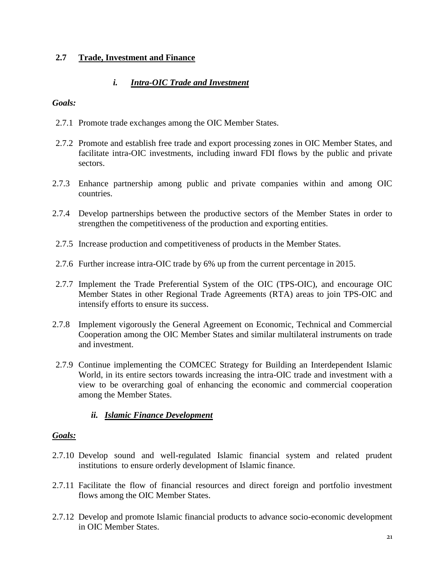### **2.7 Trade, Investment and Finance**

# *i. Intra-OIC Trade and Investment*

#### *Goals:*

- 2.7.1 Promote trade exchanges among the OIC Member States.
- 2.7.2 Promote and establish free trade and export processing zones in OIC Member States, and facilitate intra-OIC investments, including inward FDI flows by the public and private sectors.
- 2.7.3 Enhance partnership among public and private companies within and among OIC countries.
- 2.7.4 Develop partnerships between the productive sectors of the Member States in order to strengthen the competitiveness of the production and exporting entities.
- 2.7.5 Increase production and competitiveness of products in the Member States.
- 2.7.6 Further increase intra-OIC trade by 6% up from the current percentage in 2015.
- 2.7.7 Implement the Trade Preferential System of the OIC (TPS-OIC), and encourage OIC Member States in other Regional Trade Agreements (RTA) areas to join TPS-OIC and intensify efforts to ensure its success.
- 2.7.8 Implement vigorously the General Agreement on Economic, Technical and Commercial Cooperation among the OIC Member States and similar multilateral instruments on trade and investment.
- 2.7.9 Continue implementing the COMCEC Strategy for Building an Interdependent Islamic World, in its entire sectors towards increasing the intra-OIC trade and investment with a view to be overarching goal of enhancing the economic and commercial cooperation among the Member States.

## *ii. Islamic Finance Development*

- 2.7.10 Develop sound and well-regulated Islamic financial system and related prudent institutions to ensure orderly development of Islamic finance.
- 2.7.11 Facilitate the flow of financial resources and direct foreign and portfolio investment flows among the OIC Member States.
- 2.7.12 Develop and promote Islamic financial products to advance socio-economic development in OIC Member States.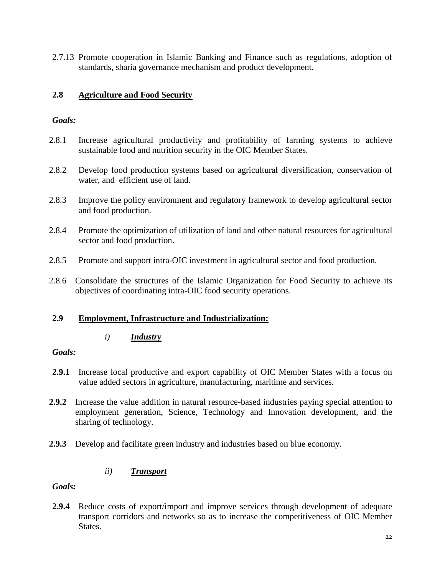2.7.13 Promote cooperation in Islamic Banking and Finance such as regulations, adoption of standards, sharia governance mechanism and product development.

# **2.8 Agriculture and Food Security**

### *Goals:*

- 2.8.1 Increase agricultural productivity and profitability of farming systems to achieve sustainable food and nutrition security in the OIC Member States.
- 2.8.2 Develop food production systems based on agricultural diversification, conservation of water, and efficient use of land.
- 2.8.3 Improve the policy environment and regulatory framework to develop agricultural sector and food production.
- 2.8.4 Promote the optimization of utilization of land and other natural resources for agricultural sector and food production.
- 2.8.5 Promote and support intra-OIC investment in agricultural sector and food production.
- 2.8.6 Consolidate the structures of the Islamic Organization for Food Security to achieve its objectives of coordinating intra-OIC food security operations.

## **2.9 Employment, Infrastructure and Industrialization:**

#### *i) Industry*

## *Goals:*

- **2.9.1** Increase local productive and export capability of OIC Member States with a focus on value added sectors in agriculture, manufacturing, maritime and services.
- **2.9.2** Increase the value addition in natural resource-based industries paying special attention to employment generation, Science, Technology and Innovation development, and the sharing of technology.
- **2.9.3** Develop and facilitate green industry and industries based on blue economy.

## *ii) Transport*

*Goals:*

**2.9.4** Reduce costs of export/import and improve services through development of adequate transport corridors and networks so as to increase the competitiveness of OIC Member States.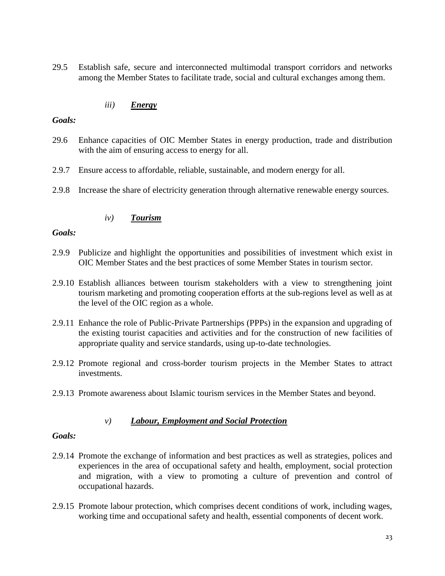29.5 Establish safe, secure and interconnected multimodal transport corridors and networks among the Member States to facilitate trade, social and cultural exchanges among them.

### *iii) Energy*

#### *Goals:*

- 29.6 Enhance capacities of OIC Member States in energy production, trade and distribution with the aim of ensuring access to energy for all.
- 2.9.7 Ensure access to affordable, reliable, sustainable, and modern energy for all.
- 2.9.8 Increase the share of electricity generation through alternative renewable energy sources.

## *iv) Tourism*

#### *Goals:*

- 2.9.9 Publicize and highlight the opportunities and possibilities of investment which exist in OIC Member States and the best practices of some Member States in tourism sector.
- 2.9.10 Establish alliances between tourism stakeholders with a view to strengthening joint tourism marketing and promoting cooperation efforts at the sub-regions level as well as at the level of the OIC region as a whole.
- 2.9.11 Enhance the role of Public-Private Partnerships (PPPs) in the expansion and upgrading of the existing tourist capacities and activities and for the construction of new facilities of appropriate quality and service standards, using up-to-date technologies.
- 2.9.12 Promote regional and cross-border tourism projects in the Member States to attract investments.
- 2.9.13 Promote awareness about Islamic tourism services in the Member States and beyond.

#### *v) Labour, Employment and Social Protection*

- 2.9.14 Promote the exchange of information and best practices as well as strategies, polices and experiences in the area of occupational safety and health, employment, social protection and migration, with a view to promoting a culture of prevention and control of occupational hazards.
- 2.9.15 Promote labour protection, which comprises decent conditions of work, including wages, working time and occupational safety and health, essential components of decent work.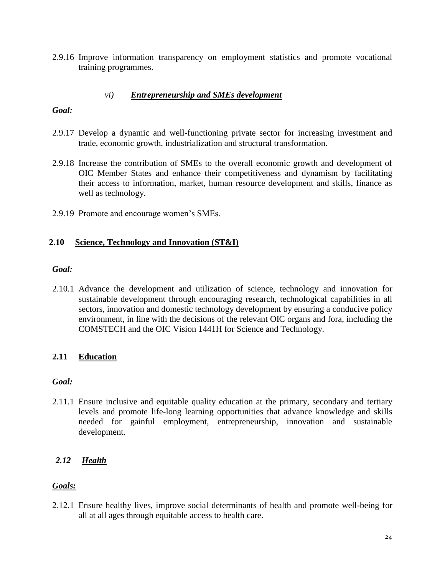2.9.16 Improve information transparency on employment statistics and promote vocational training programmes.

### *vi) Entrepreneurship and SMEs development*

#### *Goal:*

- 2.9.17 Develop a dynamic and well-functioning private sector for increasing investment and trade, economic growth, industrialization and structural transformation.
- 2.9.18 Increase the contribution of SMEs to the overall economic growth and development of OIC Member States and enhance their competitiveness and dynamism by facilitating their access to information, market, human resource development and skills, finance as well as technology.
- 2.9.19 Promote and encourage women's SMEs.

#### **2.10 Science, Technology and Innovation (ST&I)**

#### *Goal:*

2.10.1 Advance the development and utilization of science, technology and innovation for sustainable development through encouraging research, technological capabilities in all sectors, innovation and domestic technology development by ensuring a conducive policy environment, in line with the decisions of the relevant OIC organs and fora, including the COMSTECH and the OIC Vision 1441H for Science and Technology*.*

#### **2.11 Education**

#### *Goal:*

2.11.1 Ensure inclusive and equitable quality education at the primary, secondary and tertiary levels and promote life-long learning opportunities that advance knowledge and skills needed for gainful employment, entrepreneurship, innovation and sustainable development.

# *2.12 Health*

#### *Goals:*

2.12.1 Ensure healthy lives, improve social determinants of health and promote well-being for all at all ages through equitable access to health care.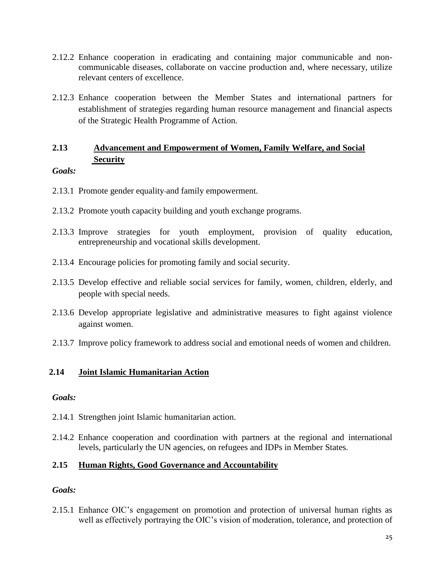- 2.12.2 Enhance cooperation in eradicating and containing major communicable and noncommunicable diseases, collaborate on vaccine production and, where necessary, utilize relevant centers of excellence.
- 2.12.3 Enhance cooperation between the Member States and international partners for establishment of strategies regarding human resource management and financial aspects of the Strategic Health Programme of Action.

# **2.13 Advancement and Empowerment of Women, Family Welfare, and Social Security**

### *Goals:*

- 2.13.1 Promote gender equality and family empowerment*.*
- 2.13.2 Promote youth capacity building and youth exchange programs.
- 2.13.3 Improve strategies for youth employment, provision of quality education, entrepreneurship and vocational skills development.
- 2.13.4 Encourage policies for promoting family and social security.
- 2.13.5 Develop effective and reliable social services for family, women, children, elderly, and people with special needs.
- 2.13.6 Develop appropriate legislative and administrative measures to fight against violence against women.
- 2.13.7 Improve policy framework to address social and emotional needs of women and children.

## **2.14 Joint Islamic Humanitarian Action**

#### *Goals:*

- 2.14.1 Strengthen joint Islamic humanitarian action.
- 2.14.2 Enhance cooperation and coordination with partners at the regional and international levels, particularly the UN agencies, on refugees and IDPs in Member States.

## **2.15 Human Rights, Good Governance and Accountability**

## *Goals:*

2.15.1 Enhance OIC's engagement on promotion and protection of universal human rights as well as effectively portraying the OIC's vision of moderation, tolerance, and protection of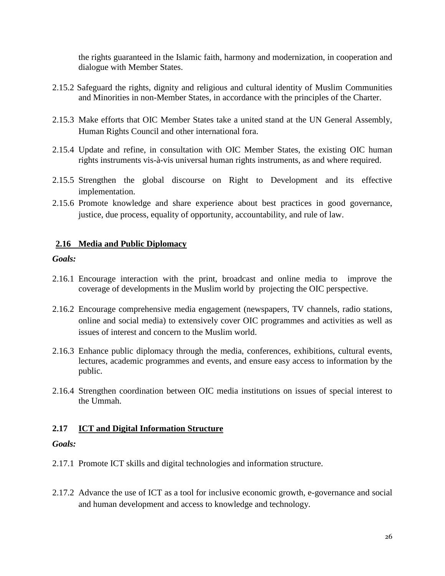the rights guaranteed in the Islamic faith, harmony and modernization, in cooperation and dialogue with Member States.

- 2.15.2 Safeguard the rights, dignity and religious and cultural identity of Muslim Communities and Minorities in non-Member States, in accordance with the principles of the Charter.
- 2.15.3 Make efforts that OIC Member States take a united stand at the UN General Assembly, Human Rights Council and other international fora.
- 2.15.4 Update and refine, in consultation with OIC Member States, the existing OIC human rights instruments vis-à-vis universal human rights instruments, as and where required.
- 2.15.5 Strengthen the global discourse on Right to Development and its effective implementation.
- 2.15.6 Promote knowledge and share experience about best practices in good governance, justice, due process, equality of opportunity, accountability, and rule of law.

### **2.16 Media and Public Diplomacy**

#### *Goals:*

- 2.16.1 Encourage interaction with the print, broadcast and online media to improve the coverage of developments in the Muslim world by projecting the OIC perspective.
- 2.16.2 Encourage comprehensive media engagement (newspapers, TV channels, radio stations, online and social media) to extensively cover OIC programmes and activities as well as issues of interest and concern to the Muslim world.
- 2.16.3 Enhance public diplomacy through the media, conferences, exhibitions, cultural events, lectures, academic programmes and events, and ensure easy access to information by the public.
- 2.16.4 Strengthen coordination between OIC media institutions on issues of special interest to the Ummah.

#### **2.17 ICT and Digital Information Structure**

- 2.17.1 Promote ICT skills and digital technologies and information structure.
- 2.17.2 Advance the use of ICT as a tool for inclusive economic growth, e-governance and social and human development and access to knowledge and technology.